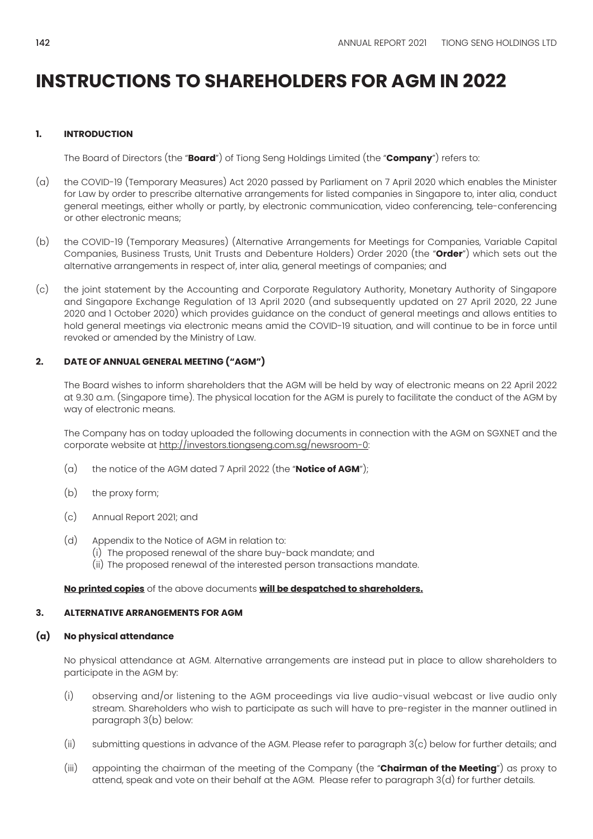## **1. INTRODUCTION**

The Board of Directors (the "**Board**") of Tiong Seng Holdings Limited (the "**Company**") refers to:

- (a) the COVID-19 (Temporary Measures) Act 2020 passed by Parliament on 7 April 2020 which enables the Minister for Law by order to prescribe alternative arrangements for listed companies in Singapore to, inter alia, conduct general meetings, either wholly or partly, by electronic communication, video conferencing, tele-conferencing or other electronic means;
- (b) the COVID-19 (Temporary Measures) (Alternative Arrangements for Meetings for Companies, Variable Capital Companies, Business Trusts, Unit Trusts and Debenture Holders) Order 2020 (the "**Order**") which sets out the alternative arrangements in respect of, inter alia, general meetings of companies; and
- (c) the joint statement by the Accounting and Corporate Regulatory Authority, Monetary Authority of Singapore and Singapore Exchange Regulation of 13 April 2020 (and subsequently updated on 27 April 2020, 22 June 2020 and 1 October 2020) which provides guidance on the conduct of general meetings and allows entities to hold general meetings via electronic means amid the COVID-19 situation, and will continue to be in force until revoked or amended by the Ministry of Law.

### **2. DATE OF ANNUAL GENERAL MEETING ("AGM")**

The Board wishes to inform shareholders that the AGM will be held by way of electronic means on 22 April 2022 at 9.30 a.m. (Singapore time). The physical location for the AGM is purely to facilitate the conduct of the AGM by way of electronic means.

The Company has on today uploaded the following documents in connection with the AGM on SGXNET and the corporate website at http://investors.tiongseng.com.sg/newsroom-0:

- (a) the notice of the AGM dated 7 April 2022 (the "**Notice of AGM**");
- (b) the proxy form;
- (c) Annual Report 2021; and
- (d) Appendix to the Notice of AGM in relation to:
	- (i) The proposed renewal of the share buy-back mandate; and
	- (ii) The proposed renewal of the interested person transactions mandate.

### **No printed copies** of the above documents **will be despatched to shareholders.**

### **3. ALTERNATIVE ARRANGEMENTS FOR AGM**

### **(a) No physical attendance**

No physical attendance at AGM. Alternative arrangements are instead put in place to allow shareholders to participate in the AGM by:

- (i) observing and/or listening to the AGM proceedings via live audio-visual webcast or live audio only stream. Shareholders who wish to participate as such will have to pre-register in the manner outlined in paragraph 3(b) below:
- (ii) submitting questions in advance of the AGM. Please refer to paragraph 3(c) below for further details; and
- (iii) appointing the chairman of the meeting of the Company (the "**Chairman of the Meeting**") as proxy to attend, speak and vote on their behalf at the AGM. Please refer to paragraph 3(d) for further details.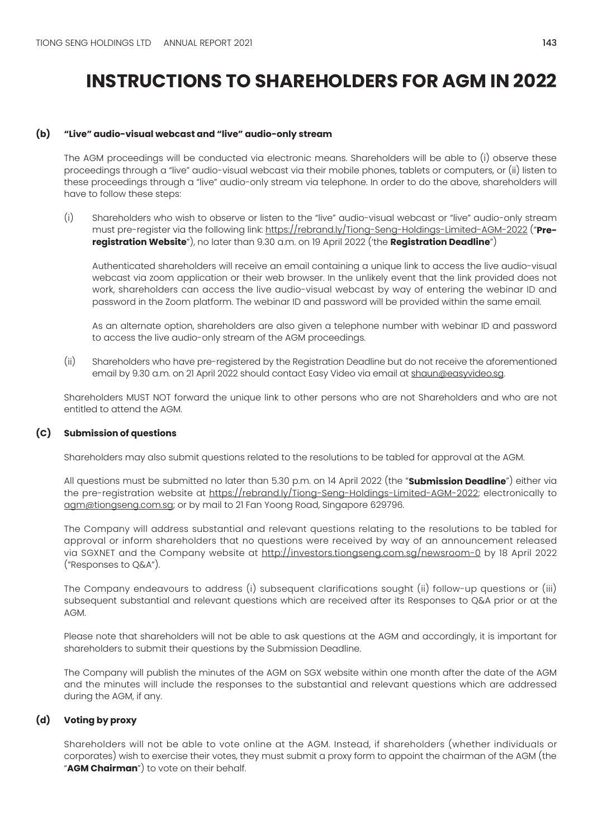### **(b) "Live" audio-visual webcast and "live" audio-only stream**

The AGM proceedings will be conducted via electronic means. Shareholders will be able to (i) observe these proceedings through a "live" audio-visual webcast via their mobile phones, tablets or computers, or (ii) listen to these proceedings through a "live" audio-only stream via telephone. In order to do the above, shareholders will have to follow these steps:

(i) Shareholders who wish to observe or listen to the "live" audio-visual webcast or "live" audio-only stream must pre-register via the following link: https://rebrand.ly/Tiong-Seng-Holdings-Limited-AGM-2022 ("**Preregistration Website**"), no later than 9.30 a.m. on 19 April 2022 ('the **Registration Deadline**")

Authenticated shareholders will receive an email containing a unique link to access the live audio-visual webcast via zoom application or their web browser. In the unlikely event that the link provided does not work, shareholders can access the live audio-visual webcast by way of entering the webinar ID and password in the Zoom platform. The webinar ID and password will be provided within the same email.

As an alternate option, shareholders are also given a telephone number with webinar ID and password to access the live audio-only stream of the AGM proceedings.

(ii) Shareholders who have pre-registered by the Registration Deadline but do not receive the aforementioned email by 9.30 a.m. on 21 April 2022 should contact Easy Video via email at shaun@easyvideo.sg.

Shareholders MUST NOT forward the unique link to other persons who are not Shareholders and who are not entitled to attend the AGM.

### **(C) Submission of questions**

Shareholders may also submit questions related to the resolutions to be tabled for approval at the AGM.

All questions must be submitted no later than 5.30 p.m. on 14 April 2022 (the "**Submission Deadline**") either via the pre-registration website at https://rebrand.ly/Tiong-Seng-Holdings-Limited-AGM-2022; electronically to agm@tiongseng.com.sg; or by mail to 21 Fan Yoong Road, Singapore 629796.

The Company will address substantial and relevant questions relating to the resolutions to be tabled for approval or inform shareholders that no questions were received by way of an announcement released via SGXNET and the Company website at http://investors.tiongseng.com.sg/newsroom-0 by 18 April 2022 ("Responses to Q&A").

The Company endeavours to address (i) subsequent clarifications sought (ii) follow-up questions or (iii) subsequent substantial and relevant questions which are received after its Responses to Q&A prior or at the AGM.

Please note that shareholders will not be able to ask questions at the AGM and accordingly, it is important for shareholders to submit their questions by the Submission Deadline.

The Company will publish the minutes of the AGM on SGX website within one month after the date of the AGM and the minutes will include the responses to the substantial and relevant questions which are addressed during the AGM, if any.

### **(d) Voting by proxy**

Shareholders will not be able to vote online at the AGM. Instead, if shareholders (whether individuals or corporates) wish to exercise their votes, they must submit a proxy form to appoint the chairman of the AGM (the "**AGM Chairman**") to vote on their behalf.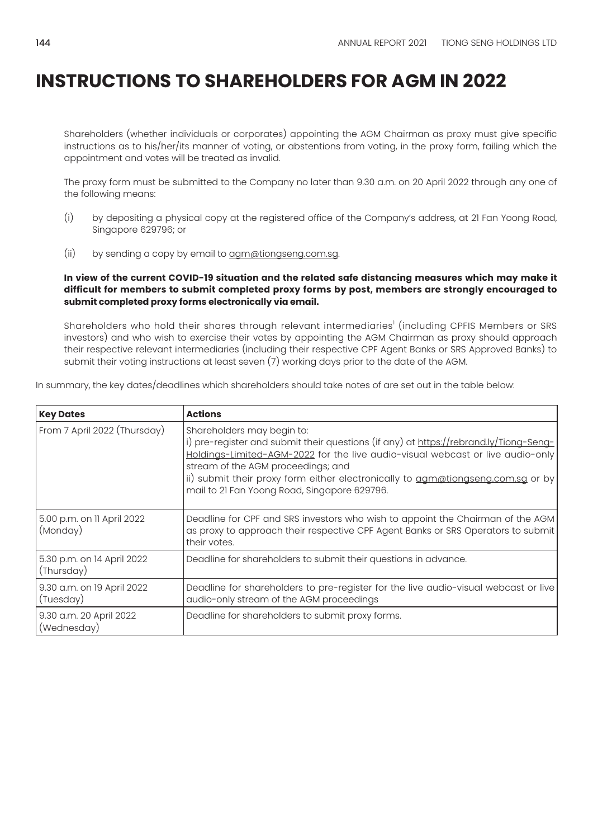Shareholders (whether individuals or corporates) appointing the AGM Chairman as proxy must give specific instructions as to his/her/its manner of voting, or abstentions from voting, in the proxy form, failing which the appointment and votes will be treated as invalid.

The proxy form must be submitted to the Company no later than 9.30 a.m. on 20 April 2022 through any one of the following means:

- (i) by depositing a physical copy at the registered office of the Company's address, at 21 Fan Yoong Road, Singapore 629796; or
- (ii) by sending a copy by email to agm@tiongseng.com.sg.

**In view of the current COVID-19 situation and the related safe distancing measures which may make it difficult for members to submit completed proxy forms by post, members are strongly encouraged to submit completed proxy forms electronically via email.** 

Shareholders who hold their shares through relevant intermediaries' (including CPFIS Members or SRS investors) and who wish to exercise their votes by appointing the AGM Chairman as proxy should approach their respective relevant intermediaries (including their respective CPF Agent Banks or SRS Approved Banks) to submit their voting instructions at least seven (7) working days prior to the date of the AGM.

In summary, the key dates/deadlines which shareholders should take notes of are set out in the table below:

| <b>Key Dates</b>                         | <b>Actions</b>                                                                                                                                                                                                                                                                                                                                                                 |
|------------------------------------------|--------------------------------------------------------------------------------------------------------------------------------------------------------------------------------------------------------------------------------------------------------------------------------------------------------------------------------------------------------------------------------|
| From 7 April 2022 (Thursday)             | Shareholders may begin to:<br>i) pre-register and submit their questions (if any) at https://rebrand.ly/Tiong-Seng-<br>Holdings-Limited-AGM-2022 for the live audio-visual webcast or live audio-only<br>stream of the AGM proceedings; and<br>ii) submit their proxy form either electronically to agm@tiongseng.com.sg or by<br>mail to 21 Fan Yoong Road, Singapore 629796. |
| 5.00 p.m. on II April 2022<br>(Monday)   | Deadline for CPF and SRS investors who wish to appoint the Chairman of the AGM<br>as proxy to approach their respective CPF Agent Banks or SRS Operators to submit<br>their votes.                                                                                                                                                                                             |
| 5.30 p.m. on 14 April 2022<br>(Thursday) | Deadline for shareholders to submit their questions in advance.                                                                                                                                                                                                                                                                                                                |
| 9.30 a.m. on 19 April 2022<br>(Tuesday)  | Deadline for shareholders to pre-register for the live audio-visual webcast or live<br>audio-only stream of the AGM proceedings                                                                                                                                                                                                                                                |
| 9.30 a.m. 20 April 2022<br>(Wednesday)   | Deadline for shareholders to submit proxy forms.                                                                                                                                                                                                                                                                                                                               |